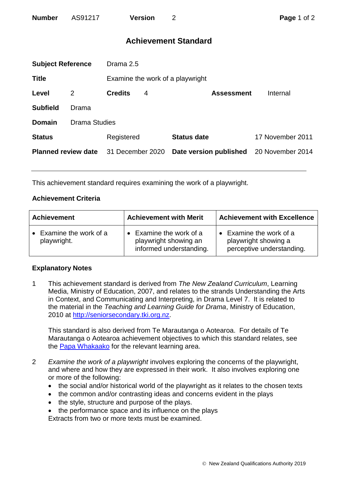# **Achievement Standard**

| <b>Subject Reference</b>   |                      | Drama 2.5        |   |                                  |                  |  |
|----------------------------|----------------------|------------------|---|----------------------------------|------------------|--|
| <b>Title</b>               |                      |                  |   | Examine the work of a playwright |                  |  |
| Level                      | 2                    | <b>Credits</b>   | 4 | <b>Assessment</b>                | Internal         |  |
| <b>Subfield</b>            | Drama                |                  |   |                                  |                  |  |
| <b>Domain</b>              | <b>Drama Studies</b> |                  |   |                                  |                  |  |
| <b>Status</b>              |                      | Registered       |   | <b>Status date</b>               | 17 November 2011 |  |
| <b>Planned review date</b> |                      | 31 December 2020 |   | Date version published           | 20 November 2014 |  |
|                            |                      |                  |   |                                  |                  |  |

This achievement standard requires examining the work of a playwright.

### **Achievement Criteria**

| <b>Achievement</b>                     | <b>Achievement with Merit</b>                                             | <b>Achievement with Excellence</b>                                         |  |
|----------------------------------------|---------------------------------------------------------------------------|----------------------------------------------------------------------------|--|
| • Examine the work of a<br>playwright. | Examine the work of a<br>playwright showing an<br>informed understanding. | Examine the work of a<br>playwright showing a<br>perceptive understanding. |  |

## **Explanatory Notes**

1 This achievement standard is derived from *The New Zealand Curriculum*, Learning Media, Ministry of Education, 2007, and relates to the strands Understanding the Arts in Context, and Communicating and Interpreting, in Drama Level 7. It is related to the material in the *Teaching and Learning Guide for Drama*, Ministry of Education, 2010 at [http://seniorsecondary.tki.org.nz.](http://seniorsecondary.tki.org.nz/)

This standard is also derived from Te Marautanga o Aotearoa. For details of Te Marautanga o Aotearoa achievement objectives to which this standard relates, see the [Papa Whakaako](http://tmoa.tki.org.nz/Te-Marautanga-o-Aotearoa/Taumata-Matauranga-a-Motu-Ka-Taea) for the relevant learning area.

- 2 *Examine the work of a playwright* involves exploring the concerns of the playwright, and where and how they are expressed in their work. It also involves exploring one or more of the following:
	- the social and/or historical world of the playwright as it relates to the chosen texts
	- the common and/or contrasting ideas and concerns evident in the plays
	- the style, structure and purpose of the plays.
	- the performance space and its influence on the plays Extracts from two or more texts must be examined.